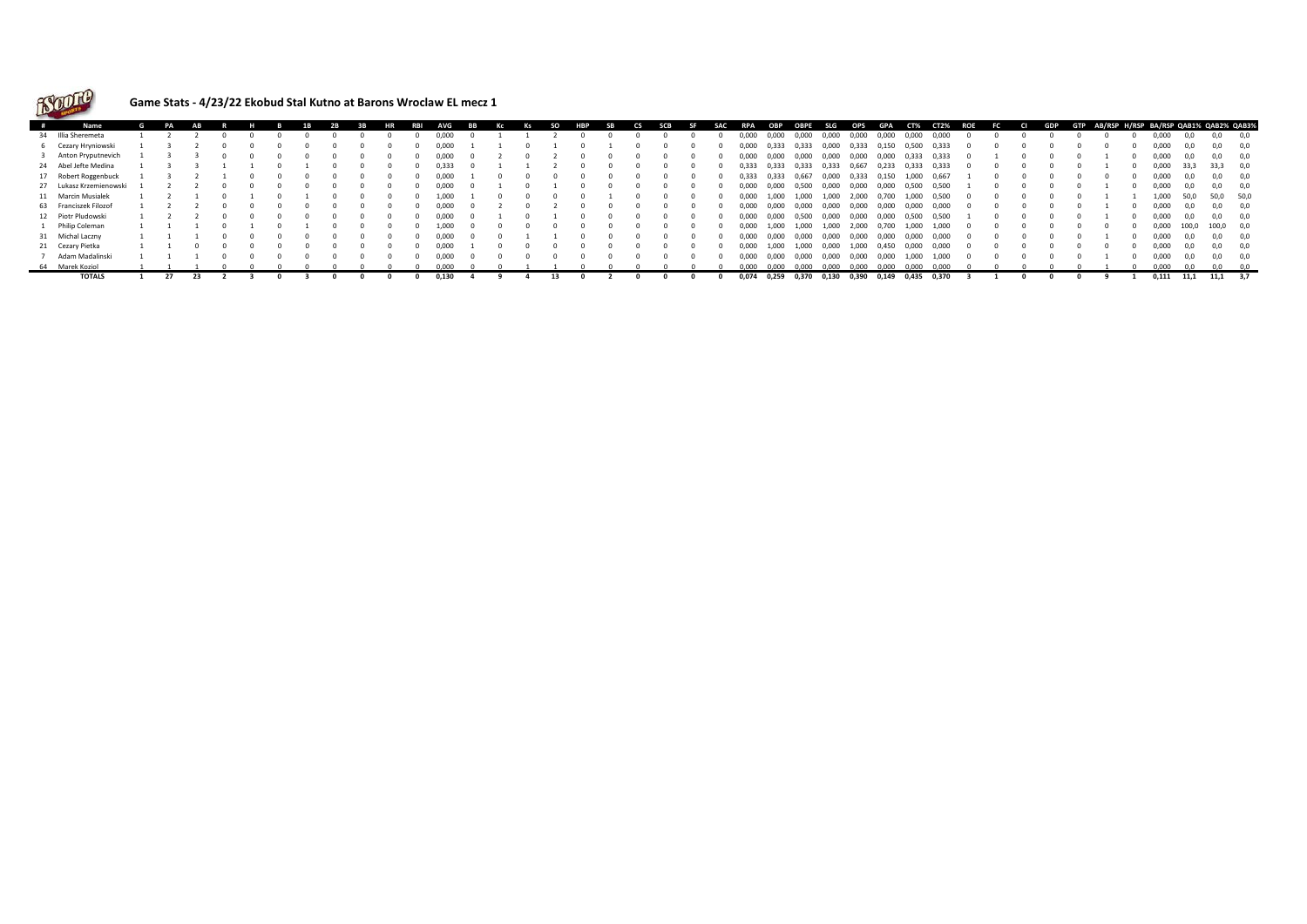

## **Game Stats - 4/23/22 Ekobud Stal Kutno at Barons Wroclaw EL mecz 1**

| $\overline{1}$ | Name                    |  |  |  |  |  | RR | AVG   | <b>RR</b> |  | SO. | HRP | CS. | SCB | SAC | RPA   | ОВР   | OBPE  | <b>SLG</b> | OPS   | <b>GPA</b> | CT%   | <b>CT2%</b> | <b>ROE</b> | - FC 1 | CI. | <b>GDP</b> | GTP |  | AB/RSP H/RSP BA/RSP QAB1% QAB2% QAB39 |       |              |     |
|----------------|-------------------------|--|--|--|--|--|----|-------|-----------|--|-----|-----|-----|-----|-----|-------|-------|-------|------------|-------|------------|-------|-------------|------------|--------|-----|------------|-----|--|---------------------------------------|-------|--------------|-----|
|                | 34 Illia Sheremeta      |  |  |  |  |  |    | 0.000 |           |  |     |     |     |     |     | 000,0 | 0,000 | 0,000 | 0,000      | 0,000 | 0,000      | 0,000 | 0,000       |            |        |     |            |     |  | 0,000                                 | 0,0   | 0,0          | 0,0 |
|                | 6 Cezary Hryniowski     |  |  |  |  |  |    | 0.000 |           |  |     |     |     |     |     | 0,000 | 0,333 | 0,333 | 0,000      | 0,333 | 0,150      | 0,500 | 0,333       |            |        |     |            |     |  | 0.000                                 | 0.0   |              |     |
|                | 3 Anton Pryputnevich    |  |  |  |  |  |    | 0.000 |           |  |     |     |     |     |     | 0.000 | 0.000 | 0,000 | 0.000      | 0,000 | 0,000      | 0,333 | 0,333       |            |        |     |            |     |  | 0,000                                 | 0.0   |              | 0,0 |
|                | 24 Abel Jefte Medina    |  |  |  |  |  |    | 0.333 |           |  |     |     |     |     |     | 0.333 | 0,333 | 0,333 | 0,333      | 0,667 | 0,233      | 0,333 | 0,333       |            |        |     |            |     |  | 0,000                                 | 33,3  | 33,3 0,0     |     |
|                | 17 Robert Roggenbuck    |  |  |  |  |  |    | 0.000 |           |  |     |     |     |     |     | 0.333 | 0.333 | 0,667 | 0,000      | 0,333 | 0,150      | 1,000 | 0,667       |            |        |     |            |     |  | 0,000                                 |       | 0.0          | 0.0 |
|                | 27 Lukasz Krzemienowski |  |  |  |  |  |    | 0.000 |           |  |     |     |     |     |     | 000.0 | 0,000 | 0,500 | 0,000      | 0,000 | 0,000      | 0,500 | 0,500       |            |        |     |            |     |  | 0,000                                 | 0.0   |              |     |
|                | 11 Marcin Musialek      |  |  |  |  |  |    | 1.000 |           |  |     |     |     |     |     | 0.000 | 1.000 | 1.000 | 1.000      | 2.000 | 0,700      | 1.000 | 0,500       |            |        |     |            |     |  | 1.000                                 | 50.0  | 50,0 50,0    |     |
|                | 63 Franciszek Filozof   |  |  |  |  |  |    | 0.000 |           |  |     |     |     |     |     | 0.000 | 0,000 | 0,000 | 0,000      | 0,000 | 0,000      | 0,000 | 0,000       |            |        |     |            |     |  | 0,000                                 | 0.0   | 0.0          | 0.0 |
|                | 12 Piotr Pludowski      |  |  |  |  |  |    | 0.000 |           |  |     |     |     |     |     | 0.000 | 0.000 | 0,500 | 0,000      | 0,000 | 0,000      | 0,500 | 0,500       |            |        |     |            |     |  | 0,000                                 | 0.0   |              | 0.0 |
|                | Philip Coleman          |  |  |  |  |  |    | 1,000 |           |  |     |     |     |     |     | 0,000 | 1,000 | 1,000 | 1,000      | 2,000 | 0,700      | 1,000 | 1,000       |            |        |     |            |     |  | 0,000                                 | 100,0 | 100,0 0,0    |     |
|                | 31 Michal Laczny        |  |  |  |  |  |    | 0.000 |           |  |     |     |     |     |     | 0.000 | 0.000 | 0.000 | 0.000      | 0.000 | 0.000      | 0.000 | 0.000       |            |        |     |            |     |  | 0.000                                 | 0.O   | 0.0          | 0.0 |
|                | 21 Cezary Pietka        |  |  |  |  |  |    | 0.000 |           |  |     |     |     |     |     | 0.000 | 1,000 | 1,000 | 0,000      | 1,000 | 0,450      | 0,000 | 0,000       |            |        |     |            |     |  | 0.000                                 | 0.0   | 0.0          | 0.0 |
|                | Adam Madalinski         |  |  |  |  |  |    | 0,000 |           |  |     |     |     |     |     | 0,000 | 0,000 | 0,000 | 0,000      | 0,000 | 0,000      | 1,000 | 1,000       |            |        |     |            |     |  | 0,000                                 | 0,0   |              | 0.0 |
|                | 64 Marek Koziol         |  |  |  |  |  |    | 0.000 |           |  |     |     |     |     |     | 0.000 | n nnn | 0.000 | 0.000      | 0.000 | 0.000      | 0.000 | 0.000       |            |        |     |            |     |  | 0.000                                 |       |              |     |
|                | <b>TOTALS</b>           |  |  |  |  |  |    | 0,130 |           |  |     |     |     |     |     | 0,074 | 0,259 | 0,370 | 0,130      | 0,390 | 0,149      | 0,435 | 0,370       |            |        |     |            |     |  | 0,111                                 | 11,1  | $11,1$ $3,7$ |     |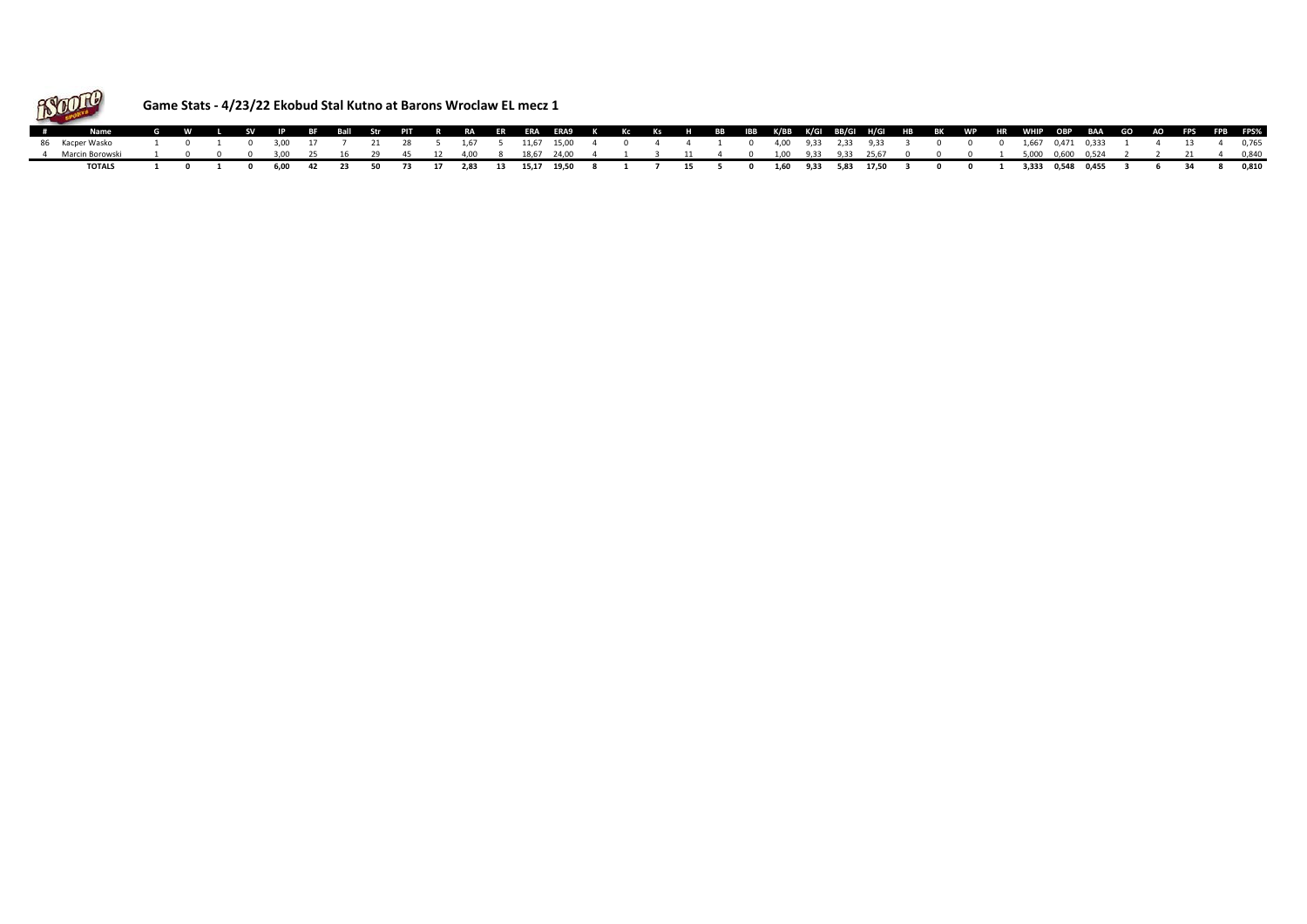

## **Game Stats - 4/23/22 Ekobud Stal Kutno at Barons Wroclaw EL mecz 1**

| Name G W L SV IP BF Ball Str PIT R RA ER ERA ERA9 K Kc Ks H BB IBB K/BB K/GI BB/GI H/GI HB BK WP HR WHIP OBP BAA GO AO FPS FPB FPS%                                                                  |  |  |  |  |  |  |  |  |  |  |  |  |  |  |  |  |  |  |
|------------------------------------------------------------------------------------------------------------------------------------------------------------------------------------------------------|--|--|--|--|--|--|--|--|--|--|--|--|--|--|--|--|--|--|
| 86 Kacper Wasko   1   0   1   0   3,00   17   7   21   28   5   1,67   5   1,67   15,00   4   0   4   4   1   0   400   9,33   2,33   3,33   3   0   0   1,667  0,471 0,333   1   4   13   4   0,765 |  |  |  |  |  |  |  |  |  |  |  |  |  |  |  |  |  |  |
| 4 MarcinBorowski 1 0 0 0 3,00 25 16 29 45 12 4,00 8 18,67 24,00 4 1 3 11 4 0 1,00 9,33 9,33 25,67 0 0 0 1 5,000 0,600 0,524 2 2 21 4 0,840                                                           |  |  |  |  |  |  |  |  |  |  |  |  |  |  |  |  |  |  |
| TOTALS 1 0 1 0 6,00 42 23 50 73 17 2,83 13 15,17 19,50 8 1 7 15 5 0 1,60 9,33 5,83 17,50 3 0 0 1 3,333 0,548 0,455 3 6 34 8 0,810                                                                    |  |  |  |  |  |  |  |  |  |  |  |  |  |  |  |  |  |  |